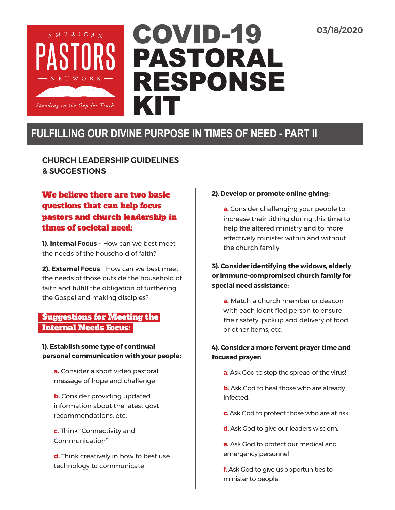**03/18/2020**



# COVID-19 PASTORAL RESPONSE KIT

# **FULFILLING OUR DIVINE PURPOSE IN TIMES OF NEED - PART II**

**CHURCH LEADERSHIP GUIDELINES & SUGGESTIONS** 

# We believe there are two basic questions that can help focus pastors and church leadership in times of societal need:

**1). Internal Focus** – How can we best meet the needs of the household of faith?

**2). External Focus** – How can we best meet the needs of those outside the household of faith and fulfill the obligation of furthering the Gospel and making disciples?

# Suggestions for Meeting the Internal Needs Focus:

#### **1). Establish some type of continual personal communication with your people:**

**a.** Consider a short video pastoral message of hope and challenge

**b.** Consider providing updated information about the latest govt recommendations, etc.

**c.** Think "Connectivity and Communication"

**d.** Think creatively in how to best use technology to communicate

#### **2). Develop or promote online giving:**

**a.** Consider challenging your people to increase their tithing during this time to help the altered ministry and to more effectively minister within and without the church family.

#### **3). Consider identifying the widows, elderly or immune-compromised church family for special need assistance:**

**a.** Match a church member or deacon with each identified person to ensure their safety, pickup and delivery of food or other items, etc.

### **4). Consider a more fervent prayer time and focused prayer:**

- **a.** Ask God to stop the spread of the virus!
- **b.** Ask God to heal those who are already infected.
- **c.** Ask God to protect those who are at risk.
- **d.** Ask God to give our leaders wisdom.
- **e.** Ask God to protect our medical and emergency personnel

**f.** Ask God to give us opportunities to minister to people.